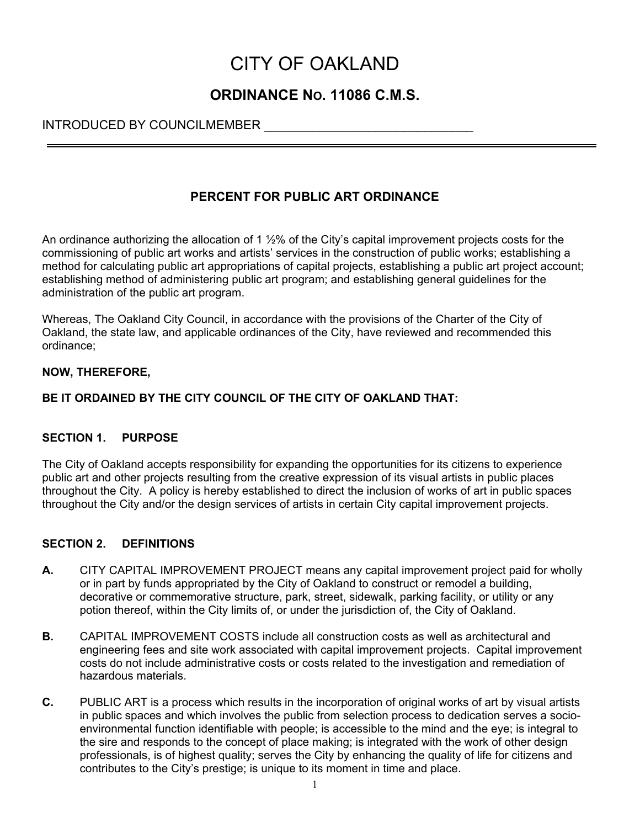# CITY OF OAKLAND

# **ORDINANCE NO. 11086 C.M.S.**

## INTRODUCED BY COUNCILMEMBER

## **PERCENT FOR PUBLIC ART ORDINANCE**

An ordinance authorizing the allocation of 1  $\frac{1}{2}$ % of the City's capital improvement projects costs for the commissioning of public art works and artists' services in the construction of public works; establishing a method for calculating public art appropriations of capital projects, establishing a public art project account; establishing method of administering public art program; and establishing general guidelines for the administration of the public art program.

Whereas, The Oakland City Council, in accordance with the provisions of the Charter of the City of Oakland, the state law, and applicable ordinances of the City, have reviewed and recommended this ordinance;

## **NOW, THEREFORE,**

## **BE IT ORDAINED BY THE CITY COUNCIL OF THE CITY OF OAKLAND THAT:**

## **SECTION 1. PURPOSE**

The City of Oakland accepts responsibility for expanding the opportunities for its citizens to experience public art and other projects resulting from the creative expression of its visual artists in public places throughout the City. A policy is hereby established to direct the inclusion of works of art in public spaces throughout the City and/or the design services of artists in certain City capital improvement projects.

## **SECTION 2. DEFINITIONS**

- **A.** CITY CAPITAL IMPROVEMENT PROJECT means any capital improvement project paid for wholly or in part by funds appropriated by the City of Oakland to construct or remodel a building, decorative or commemorative structure, park, street, sidewalk, parking facility, or utility or any potion thereof, within the City limits of, or under the jurisdiction of, the City of Oakland.
- **B.** CAPITAL IMPROVEMENT COSTS include all construction costs as well as architectural and engineering fees and site work associated with capital improvement projects. Capital improvement costs do not include administrative costs or costs related to the investigation and remediation of hazardous materials.
- **C.** PUBLIC ART is a process which results in the incorporation of original works of art by visual artists in public spaces and which involves the public from selection process to dedication serves a socioenvironmental function identifiable with people; is accessible to the mind and the eye; is integral to the sire and responds to the concept of place making; is integrated with the work of other design professionals, is of highest quality; serves the City by enhancing the quality of life for citizens and contributes to the City's prestige; is unique to its moment in time and place.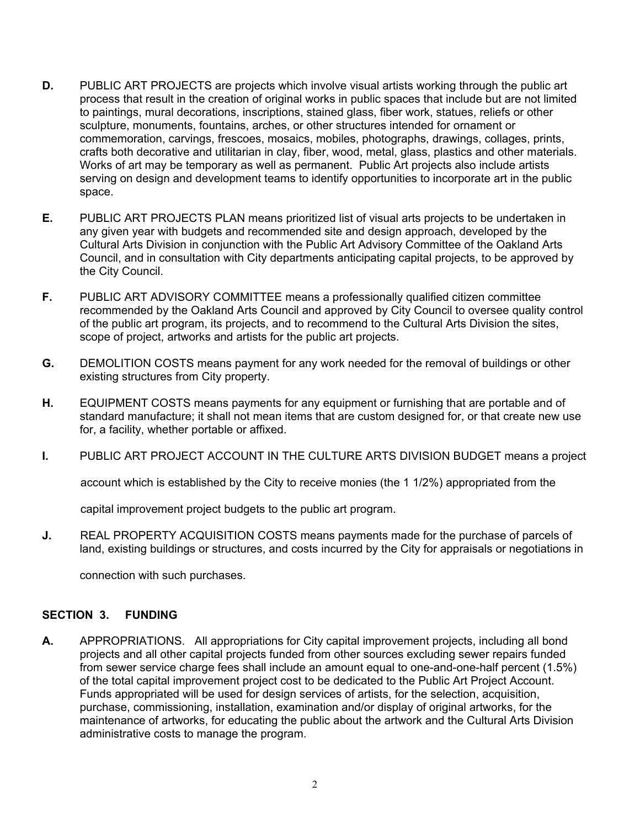- **D.** PUBLIC ART PROJECTS are projects which involve visual artists working through the public art process that result in the creation of original works in public spaces that include but are not limited to paintings, mural decorations, inscriptions, stained glass, fiber work, statues, reliefs or other sculpture, monuments, fountains, arches, or other structures intended for ornament or commemoration, carvings, frescoes, mosaics, mobiles, photographs, drawings, collages, prints, crafts both decorative and utilitarian in clay, fiber, wood, metal, glass, plastics and other materials. Works of art may be temporary as well as permanent. Public Art projects also include artists serving on design and development teams to identify opportunities to incorporate art in the public space.
- **E.** PUBLIC ART PROJECTS PLAN means prioritized list of visual arts projects to be undertaken in any given year with budgets and recommended site and design approach, developed by the Cultural Arts Division in conjunction with the Public Art Advisory Committee of the Oakland Arts Council, and in consultation with City departments anticipating capital projects, to be approved by the City Council.
- **F.** PUBLIC ART ADVISORY COMMITTEE means a professionally qualified citizen committee recommended by the Oakland Arts Council and approved by City Council to oversee quality control of the public art program, its projects, and to recommend to the Cultural Arts Division the sites, scope of project, artworks and artists for the public art projects.
- **G.** DEMOLITION COSTS means payment for any work needed for the removal of buildings or other existing structures from City property.
- **H.** EQUIPMENT COSTS means payments for any equipment or furnishing that are portable and of standard manufacture; it shall not mean items that are custom designed for, or that create new use for, a facility, whether portable or affixed.
- **I.** PUBLIC ART PROJECT ACCOUNT IN THE CULTURE ARTS DIVISION BUDGET means a project

account which is established by the City to receive monies (the 1 1/2%) appropriated from the

capital improvement project budgets to the public art program.

**J.** REAL PROPERTY ACQUISITION COSTS means payments made for the purchase of parcels of land, existing buildings or structures, and costs incurred by the City for appraisals or negotiations in

connection with such purchases.

#### **SECTION 3. FUNDING**

**A.** APPROPRIATIONS. All appropriations for City capital improvement projects, including all bond projects and all other capital projects funded from other sources excluding sewer repairs funded from sewer service charge fees shall include an amount equal to one-and-one-half percent (1.5%) of the total capital improvement project cost to be dedicated to the Public Art Project Account. Funds appropriated will be used for design services of artists, for the selection, acquisition, purchase, commissioning, installation, examination and/or display of original artworks, for the maintenance of artworks, for educating the public about the artwork and the Cultural Arts Division administrative costs to manage the program.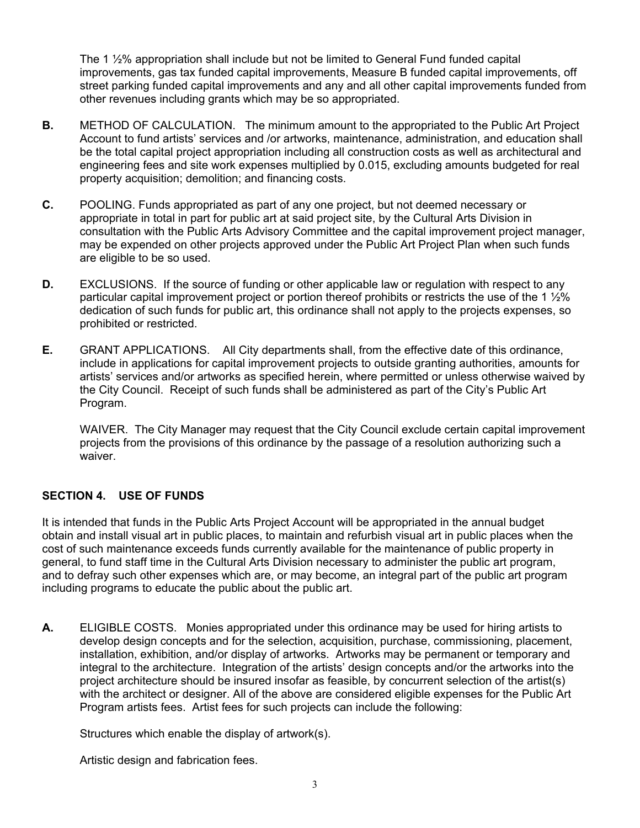The 1 ½% appropriation shall include but not be limited to General Fund funded capital improvements, gas tax funded capital improvements, Measure B funded capital improvements, off street parking funded capital improvements and any and all other capital improvements funded from other revenues including grants which may be so appropriated.

- **B.** METHOD OF CALCULATION. The minimum amount to the appropriated to the Public Art Project Account to fund artists' services and /or artworks, maintenance, administration, and education shall be the total capital project appropriation including all construction costs as well as architectural and engineering fees and site work expenses multiplied by 0.015, excluding amounts budgeted for real property acquisition; demolition; and financing costs.
- **C.** POOLING. Funds appropriated as part of any one project, but not deemed necessary or appropriate in total in part for public art at said project site, by the Cultural Arts Division in consultation with the Public Arts Advisory Committee and the capital improvement project manager, may be expended on other projects approved under the Public Art Project Plan when such funds are eligible to be so used.
- **D.** EXCLUSIONS. If the source of funding or other applicable law or regulation with respect to any particular capital improvement project or portion thereof prohibits or restricts the use of the 1 ½% dedication of such funds for public art, this ordinance shall not apply to the projects expenses, so prohibited or restricted.
- **E.** GRANT APPLICATIONS. All City departments shall, from the effective date of this ordinance, include in applications for capital improvement projects to outside granting authorities, amounts for artists' services and/or artworks as specified herein, where permitted or unless otherwise waived by the City Council. Receipt of such funds shall be administered as part of the City's Public Art Program.

WAIVER. The City Manager may request that the City Council exclude certain capital improvement projects from the provisions of this ordinance by the passage of a resolution authorizing such a waiver.

## **SECTION 4. USE OF FUNDS**

It is intended that funds in the Public Arts Project Account will be appropriated in the annual budget obtain and install visual art in public places, to maintain and refurbish visual art in public places when the cost of such maintenance exceeds funds currently available for the maintenance of public property in general, to fund staff time in the Cultural Arts Division necessary to administer the public art program, and to defray such other expenses which are, or may become, an integral part of the public art program including programs to educate the public about the public art.

**A.** ELIGIBLE COSTS. Monies appropriated under this ordinance may be used for hiring artists to develop design concepts and for the selection, acquisition, purchase, commissioning, placement, installation, exhibition, and/or display of artworks. Artworks may be permanent or temporary and integral to the architecture. Integration of the artists' design concepts and/or the artworks into the project architecture should be insured insofar as feasible, by concurrent selection of the artist(s) with the architect or designer. All of the above are considered eligible expenses for the Public Art Program artists fees. Artist fees for such projects can include the following:

Structures which enable the display of artwork(s).

Artistic design and fabrication fees.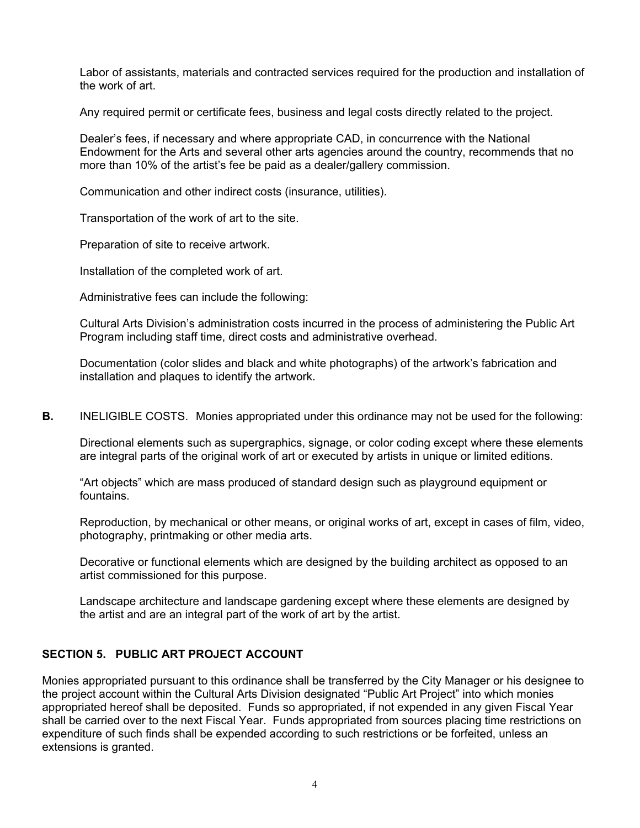Labor of assistants, materials and contracted services required for the production and installation of the work of art.

Any required permit or certificate fees, business and legal costs directly related to the project.

Dealer's fees, if necessary and where appropriate CAD, in concurrence with the National Endowment for the Arts and several other arts agencies around the country, recommends that no more than 10% of the artist's fee be paid as a dealer/gallery commission.

Communication and other indirect costs (insurance, utilities).

Transportation of the work of art to the site.

Preparation of site to receive artwork.

Installation of the completed work of art.

Administrative fees can include the following:

Cultural Arts Division's administration costs incurred in the process of administering the Public Art Program including staff time, direct costs and administrative overhead.

Documentation (color slides and black and white photographs) of the artwork's fabrication and installation and plaques to identify the artwork.

**B.** INELIGIBLE COSTS. Monies appropriated under this ordinance may not be used for the following:

Directional elements such as supergraphics, signage, or color coding except where these elements are integral parts of the original work of art or executed by artists in unique or limited editions.

"Art objects" which are mass produced of standard design such as playground equipment or fountains.

Reproduction, by mechanical or other means, or original works of art, except in cases of film, video, photography, printmaking or other media arts.

Decorative or functional elements which are designed by the building architect as opposed to an artist commissioned for this purpose.

Landscape architecture and landscape gardening except where these elements are designed by the artist and are an integral part of the work of art by the artist.

#### **SECTION 5. PUBLIC ART PROJECT ACCOUNT**

Monies appropriated pursuant to this ordinance shall be transferred by the City Manager or his designee to the project account within the Cultural Arts Division designated "Public Art Project" into which monies appropriated hereof shall be deposited. Funds so appropriated, if not expended in any given Fiscal Year shall be carried over to the next Fiscal Year. Funds appropriated from sources placing time restrictions on expenditure of such finds shall be expended according to such restrictions or be forfeited, unless an extensions is granted.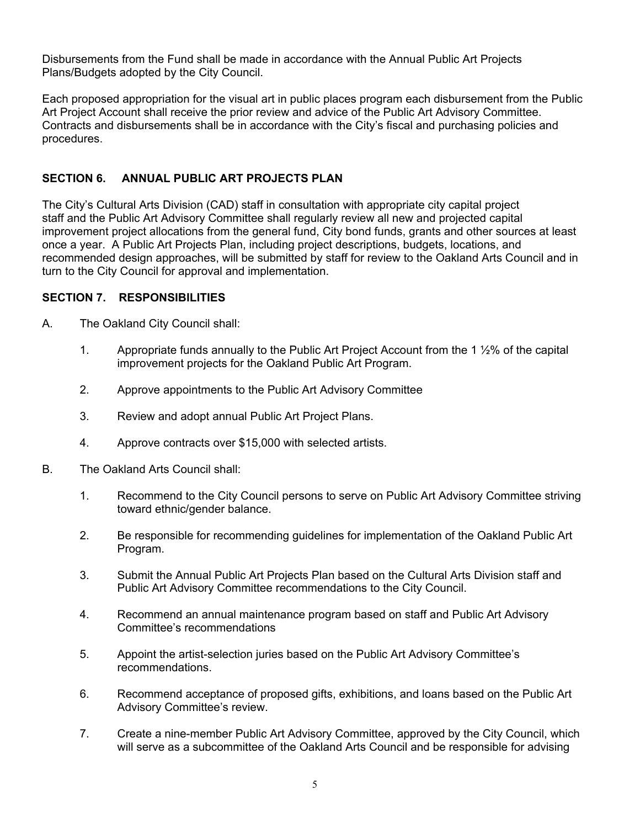Disbursements from the Fund shall be made in accordance with the Annual Public Art Projects Plans/Budgets adopted by the City Council.

Each proposed appropriation for the visual art in public places program each disbursement from the Public Art Project Account shall receive the prior review and advice of the Public Art Advisory Committee. Contracts and disbursements shall be in accordance with the City's fiscal and purchasing policies and procedures.

## **SECTION 6. ANNUAL PUBLIC ART PROJECTS PLAN**

The City's Cultural Arts Division (CAD) staff in consultation with appropriate city capital project staff and the Public Art Advisory Committee shall regularly review all new and projected capital improvement project allocations from the general fund, City bond funds, grants and other sources at least once a year. A Public Art Projects Plan, including project descriptions, budgets, locations, and recommended design approaches, will be submitted by staff for review to the Oakland Arts Council and in turn to the City Council for approval and implementation.

## **SECTION 7. RESPONSIBILITIES**

- A. The Oakland City Council shall:
	- 1. Appropriate funds annually to the Public Art Project Account from the 1 ½% of the capital improvement projects for the Oakland Public Art Program.
	- 2. Approve appointments to the Public Art Advisory Committee
	- 3. Review and adopt annual Public Art Project Plans.
	- 4. Approve contracts over \$15,000 with selected artists.
- B. The Oakland Arts Council shall:
	- 1. Recommend to the City Council persons to serve on Public Art Advisory Committee striving toward ethnic/gender balance.
	- 2. Be responsible for recommending guidelines for implementation of the Oakland Public Art Program.
	- 3. Submit the Annual Public Art Projects Plan based on the Cultural Arts Division staff and Public Art Advisory Committee recommendations to the City Council.
	- 4. Recommend an annual maintenance program based on staff and Public Art Advisory Committee's recommendations
	- 5. Appoint the artist-selection juries based on the Public Art Advisory Committee's recommendations.
	- 6. Recommend acceptance of proposed gifts, exhibitions, and loans based on the Public Art Advisory Committee's review.
	- 7. Create a nine-member Public Art Advisory Committee, approved by the City Council, which will serve as a subcommittee of the Oakland Arts Council and be responsible for advising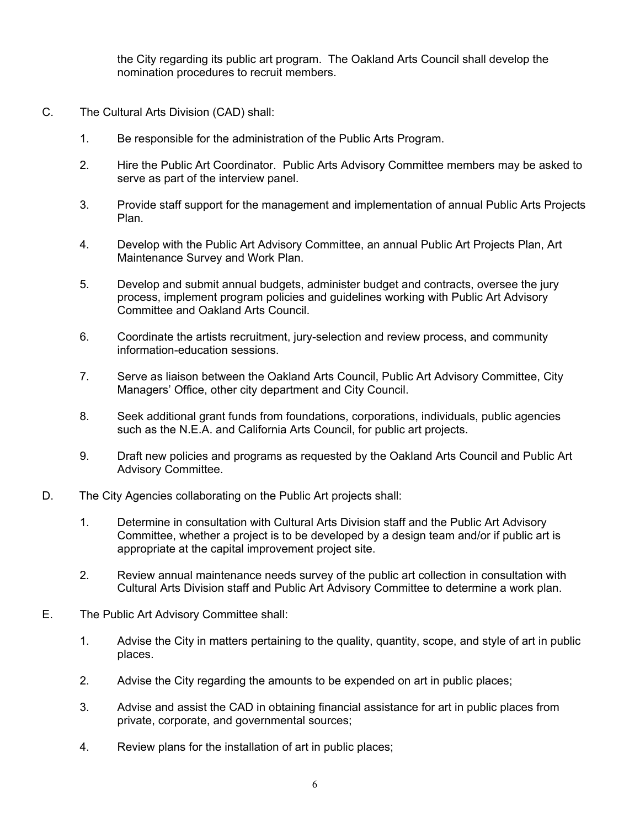the City regarding its public art program. The Oakland Arts Council shall develop the nomination procedures to recruit members.

- C. The Cultural Arts Division (CAD) shall:
	- 1. Be responsible for the administration of the Public Arts Program.
	- 2. Hire the Public Art Coordinator. Public Arts Advisory Committee members may be asked to serve as part of the interview panel.
	- 3. Provide staff support for the management and implementation of annual Public Arts Projects Plan.
	- 4. Develop with the Public Art Advisory Committee, an annual Public Art Projects Plan, Art Maintenance Survey and Work Plan.
	- 5. Develop and submit annual budgets, administer budget and contracts, oversee the jury process, implement program policies and guidelines working with Public Art Advisory Committee and Oakland Arts Council.
	- 6. Coordinate the artists recruitment, jury-selection and review process, and community information-education sessions.
	- 7. Serve as liaison between the Oakland Arts Council, Public Art Advisory Committee, City Managers' Office, other city department and City Council.
	- 8. Seek additional grant funds from foundations, corporations, individuals, public agencies such as the N.E.A. and California Arts Council, for public art projects.
	- 9. Draft new policies and programs as requested by the Oakland Arts Council and Public Art Advisory Committee.
- D. The City Agencies collaborating on the Public Art projects shall:
	- 1. Determine in consultation with Cultural Arts Division staff and the Public Art Advisory Committee, whether a project is to be developed by a design team and/or if public art is appropriate at the capital improvement project site.
	- 2. Review annual maintenance needs survey of the public art collection in consultation with Cultural Arts Division staff and Public Art Advisory Committee to determine a work plan.
- E. The Public Art Advisory Committee shall:
	- 1. Advise the City in matters pertaining to the quality, quantity, scope, and style of art in public places.
	- 2. Advise the City regarding the amounts to be expended on art in public places;
	- 3. Advise and assist the CAD in obtaining financial assistance for art in public places from private, corporate, and governmental sources;
	- 4. Review plans for the installation of art in public places;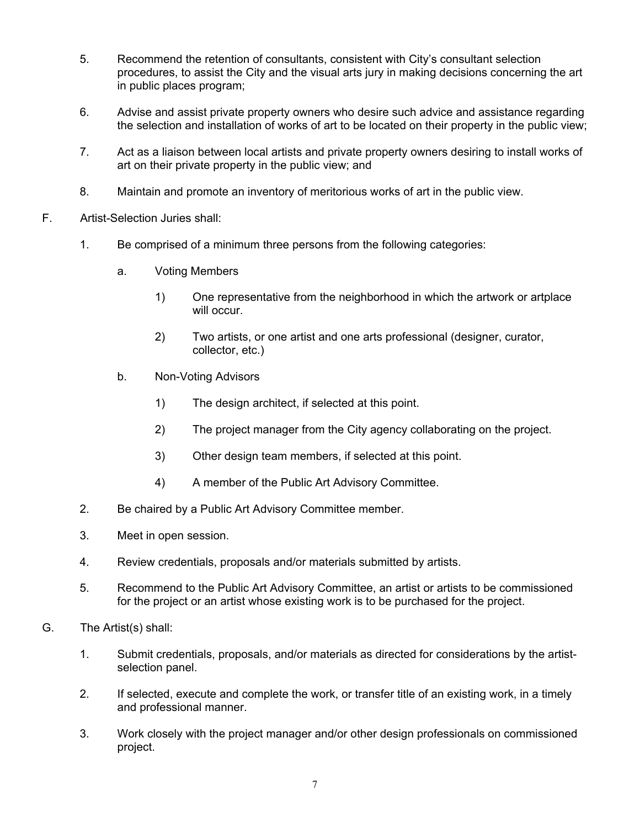- 5. Recommend the retention of consultants, consistent with City's consultant selection procedures, to assist the City and the visual arts jury in making decisions concerning the art in public places program;
- 6. Advise and assist private property owners who desire such advice and assistance regarding the selection and installation of works of art to be located on their property in the public view;
- 7. Act as a liaison between local artists and private property owners desiring to install works of art on their private property in the public view; and
- 8. Maintain and promote an inventory of meritorious works of art in the public view.
- F. Artist-Selection Juries shall:
	- 1. Be comprised of a minimum three persons from the following categories:
		- a. Voting Members
			- 1) One representative from the neighborhood in which the artwork or artplace will occur.
			- 2) Two artists, or one artist and one arts professional (designer, curator, collector, etc.)
		- b. Non-Voting Advisors
			- 1) The design architect, if selected at this point.
			- 2) The project manager from the City agency collaborating on the project.
			- 3) Other design team members, if selected at this point.
			- 4) A member of the Public Art Advisory Committee.
	- 2. Be chaired by a Public Art Advisory Committee member.
	- 3. Meet in open session.
	- 4. Review credentials, proposals and/or materials submitted by artists.
	- 5. Recommend to the Public Art Advisory Committee, an artist or artists to be commissioned for the project or an artist whose existing work is to be purchased for the project.
- G. The Artist(s) shall:
	- 1. Submit credentials, proposals, and/or materials as directed for considerations by the artistselection panel.
	- 2. If selected, execute and complete the work, or transfer title of an existing work, in a timely and professional manner.
	- 3. Work closely with the project manager and/or other design professionals on commissioned project.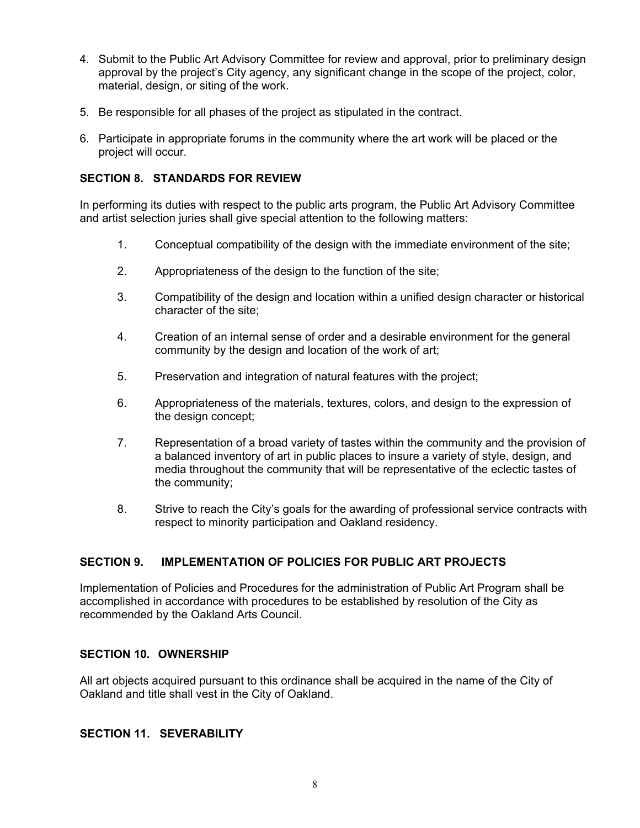- 4. Submit to the Public Art Advisory Committee for review and approval, prior to preliminary design approval by the project's City agency, any significant change in the scope of the project, color, material, design, or siting of the work.
- 5. Be responsible for all phases of the project as stipulated in the contract.
- 6. Participate in appropriate forums in the community where the art work will be placed or the project will occur.

## **SECTION 8. STANDARDS FOR REVIEW**

In performing its duties with respect to the public arts program, the Public Art Advisory Committee and artist selection juries shall give special attention to the following matters:

- 1. Conceptual compatibility of the design with the immediate environment of the site;
- 2. Appropriateness of the design to the function of the site;
- 3. Compatibility of the design and location within a unified design character or historical character of the site;
- 4. Creation of an internal sense of order and a desirable environment for the general community by the design and location of the work of art;
- 5. Preservation and integration of natural features with the project;
- 6. Appropriateness of the materials, textures, colors, and design to the expression of the design concept;
- 7. Representation of a broad variety of tastes within the community and the provision of a balanced inventory of art in public places to insure a variety of style, design, and media throughout the community that will be representative of the eclectic tastes of the community;
- 8. Strive to reach the City's goals for the awarding of professional service contracts with respect to minority participation and Oakland residency.

## **SECTION 9. IMPLEMENTATION OF POLICIES FOR PUBLIC ART PROJECTS**

Implementation of Policies and Procedures for the administration of Public Art Program shall be accomplished in accordance with procedures to be established by resolution of the City as recommended by the Oakland Arts Council.

#### **SECTION 10. OWNERSHIP**

All art objects acquired pursuant to this ordinance shall be acquired in the name of the City of Oakland and title shall vest in the City of Oakland.

#### **SECTION 11. SEVERABILITY**